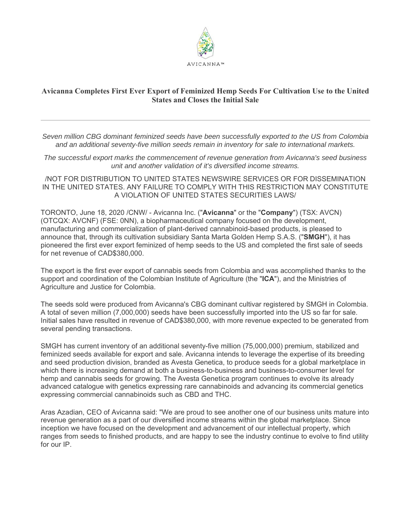

## **Avicanna Completes First Ever Export of Feminized Hemp Seeds For Cultivation Use to the United States and Closes the Initial Sale**

*Seven million CBG dominant feminized seeds have been successfully exported to the US from Colombia and an additional seventy-five million seeds remain in inventory for sale to international markets.*

*The successful export marks the commencement of revenue generation from Avicanna's seed business unit and another validation of it's diversified income streams.* 

/NOT FOR DISTRIBUTION TO UNITED STATES NEWSWIRE SERVICES OR FOR DISSEMINATION IN THE UNITED STATES. ANY FAILURE TO COMPLY WITH THIS RESTRICTION MAY CONSTITUTE A VIOLATION OF UNITED STATES SECURITIES LAWS/

TORONTO, June 18, 2020 /CNW/ - Avicanna Inc. ("**Avicanna**" or the "**Company**") (TSX: AVCN) (OTCQX: AVCNF) (FSE: 0NN), a biopharmaceutical company focused on the development, manufacturing and commercialization of plant-derived cannabinoid-based products, is pleased to announce that, through its cultivation subsidiary Santa Marta Golden Hemp S.A.S. ("**SMGH**"), it has pioneered the first ever export feminized of hemp seeds to the US and completed the first sale of seeds for net revenue of CAD\$380,000.

The export is the first ever export of cannabis seeds from Colombia and was accomplished thanks to the support and coordination of the Colombian Institute of Agriculture (the "**ICA**"), and the Ministries of Agriculture and Justice for Colombia.

The seeds sold were produced from Avicanna's CBG dominant cultivar registered by SMGH in Colombia. A total of seven million (7,000,000) seeds have been successfully imported into the US so far for sale. Initial sales have resulted in revenue of CAD\$380,000, with more revenue expected to be generated from several pending transactions.

SMGH has current inventory of an additional seventy-five million (75,000,000) premium, stabilized and feminized seeds available for export and sale. Avicanna intends to leverage the expertise of its breeding and seed production division, branded as Avesta Genetica, to produce seeds for a global marketplace in which there is increasing demand at both a business-to-business and business-to-consumer level for hemp and cannabis seeds for growing. The Avesta Genetica program continues to evolve its already advanced catalogue with genetics expressing rare cannabinoids and advancing its commercial genetics expressing commercial cannabinoids such as CBD and THC.

Aras Azadian, CEO of Avicanna said: "We are proud to see another one of our business units mature into revenue generation as a part of our diversified income streams within the global marketplace. Since inception we have focused on the development and advancement of our intellectual property, which ranges from seeds to finished products, and are happy to see the industry continue to evolve to find utility for our IP.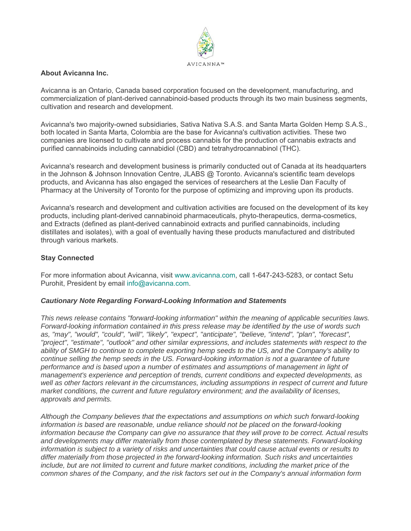

## **About Avicanna Inc.**

Avicanna is an Ontario, Canada based corporation focused on the development, manufacturing, and commercialization of plant-derived cannabinoid-based products through its two main business segments, cultivation and research and development.

Avicanna's two majority-owned subsidiaries, Sativa Nativa S.A.S. and Santa Marta Golden Hemp S.A.S., both located in Santa Marta, Colombia are the base for Avicanna's cultivation activities. These two companies are licensed to cultivate and process cannabis for the production of cannabis extracts and purified cannabinoids including cannabidiol (CBD) and tetrahydrocannabinol (THC).

Avicanna's research and development business is primarily conducted out of Canada at its headquarters in the Johnson & Johnson Innovation Centre, JLABS @ Toronto. Avicanna's scientific team develops products, and Avicanna has also engaged the services of researchers at the Leslie Dan Faculty of Pharmacy at the University of Toronto for the purpose of optimizing and improving upon its products.

Avicanna's research and development and cultivation activities are focused on the development of its key products, including plant-derived cannabinoid pharmaceuticals, phyto-therapeutics, derma-cosmetics, and Extracts (defined as plant-derived cannabinoid extracts and purified cannabinoids, including distillates and isolates), with a goal of eventually having these products manufactured and distributed through various markets.

## **Stay Connected**

For more information about Avicanna, visit www.avicanna.com, call 1-647-243-5283, or contact Setu Purohit, President by email info@avicanna.com.

## *Cautionary Note Regarding Forward-Looking Information and Statements*

*This news release contains "forward-looking information" within the meaning of applicable securities laws. Forward-looking information contained in this press release may be identified by the use of words such as, "may", "would", "could", "will", "likely", "expect", "anticipate", "believe, "intend", "plan", "forecast", "project", "estimate", "outlook" and other similar expressions, and includes statements with respect to the ability of SMGH to continue to complete exporting hemp seeds to the US, and the Company's ability to continue selling the hemp seeds in the US. Forward-looking information is not a guarantee of future performance and is based upon a number of estimates and assumptions of management in light of management's experience and perception of trends, current conditions and expected developments, as well as other factors relevant in the circumstances, including assumptions in respect of current and future market conditions, the current and future regulatory environment; and the availability of licenses, approvals and permits.*

*Although the Company believes that the expectations and assumptions on which such forward-looking information is based are reasonable, undue reliance should not be placed on the forward-looking information because the Company can give no assurance that they will prove to be correct. Actual results and developments may differ materially from those contemplated by these statements. Forward-looking information is subject to a variety of risks and uncertainties that could cause actual events or results to differ materially from those projected in the forward-looking information. Such risks and uncertainties include, but are not limited to current and future market conditions, including the market price of the common shares of the Company, and the risk factors set out in the Company's annual information form*